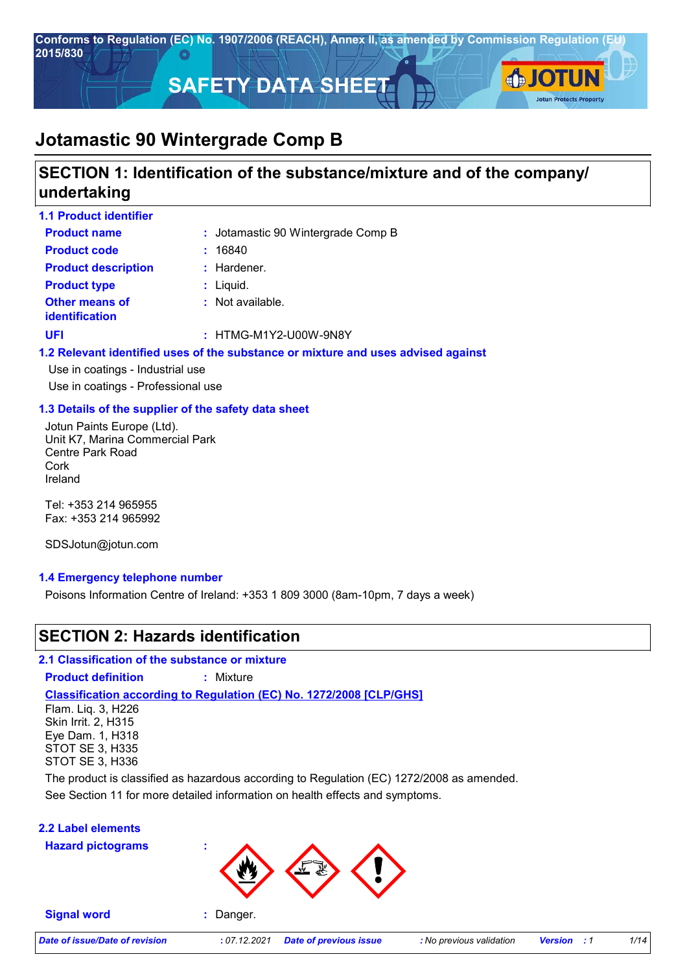

# **SECTION 1: Identification of the substance/mixture and of the company/ undertaking**

| <b>1.1 Product identifier</b>                  |                                                                                   |
|------------------------------------------------|-----------------------------------------------------------------------------------|
| <b>Product name</b>                            | : Jotamastic 90 Wintergrade Comp B                                                |
| <b>Product code</b>                            | : 16840                                                                           |
| <b>Product description</b>                     | $:$ Hardener.                                                                     |
| <b>Product type</b>                            | : Liquid.                                                                         |
| <b>Other means of</b><br><i>identification</i> | : Not available.                                                                  |
| <b>UFI</b>                                     | : HTMG-M1Y2-U00W-9N8Y                                                             |
|                                                | 1.2 Relevant identified uses of the substance or mixture and uses advised against |

Use in coatings - Industrial use Use in coatings - Professional use

### **1.3 Details of the supplier of the safety data sheet**

Jotun Paints Europe (Ltd). Unit K7, Marina Commercial Park Centre Park Road Cork Ireland

Tel: +353 214 965955 Fax: +353 214 965992

SDSJotun@jotun.com

### **1.4 Emergency telephone number**

Poisons Information Centre of Ireland: +353 1 809 3000 (8am-10pm, 7 days a week)

# **SECTION 2: Hazards identification**

**2.1 Classification of the substance or mixture**

**Product definition :** Mixture

# **Classification according to Regulation (EC) No. 1272/2008 [CLP/GHS]**

Flam. Liq. 3, H226 Skin Irrit. 2, H315 Eye Dam. 1, H318 STOT SE 3, H335 STOT SE 3, H336

The product is classified as hazardous according to Regulation (EC) 1272/2008 as amended.

See Section 11 for more detailed information on health effects and symptoms.

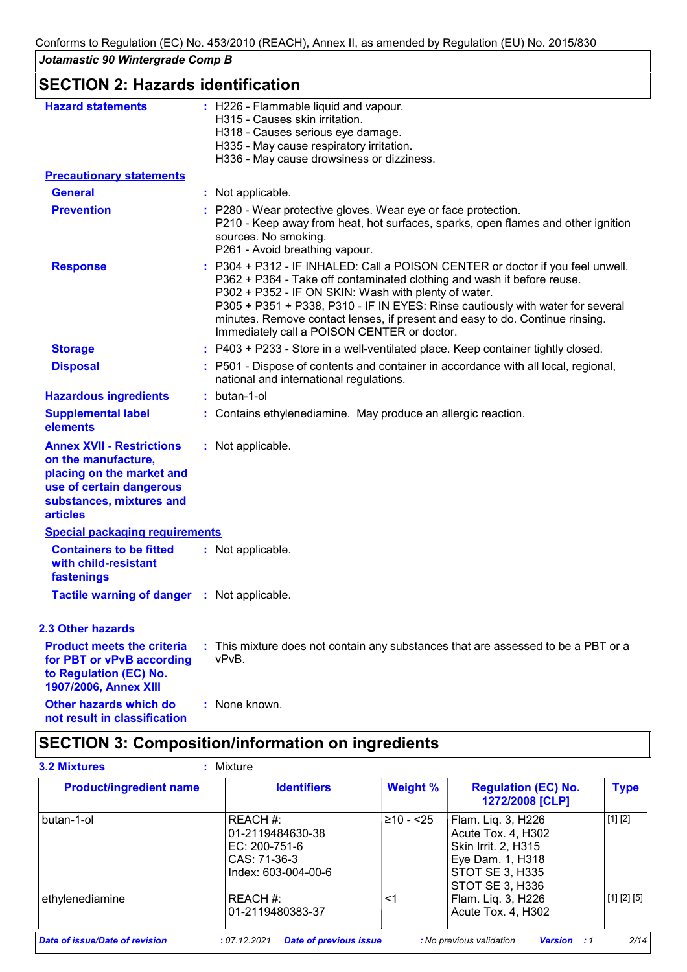# **SECTION 2: Hazards identification**

| <b>Hazard statements</b>                                                                                                                                        | : H226 - Flammable liquid and vapour.<br>H315 - Causes skin irritation.<br>H318 - Causes serious eye damage.<br>H335 - May cause respiratory irritation.<br>H336 - May cause drowsiness or dizziness.                                                                                                                                                                                                                             |
|-----------------------------------------------------------------------------------------------------------------------------------------------------------------|-----------------------------------------------------------------------------------------------------------------------------------------------------------------------------------------------------------------------------------------------------------------------------------------------------------------------------------------------------------------------------------------------------------------------------------|
| <b>Precautionary statements</b>                                                                                                                                 |                                                                                                                                                                                                                                                                                                                                                                                                                                   |
| <b>General</b>                                                                                                                                                  | : Not applicable.                                                                                                                                                                                                                                                                                                                                                                                                                 |
| <b>Prevention</b>                                                                                                                                               | : P280 - Wear protective gloves. Wear eye or face protection.<br>P210 - Keep away from heat, hot surfaces, sparks, open flames and other ignition<br>sources. No smoking.<br>P261 - Avoid breathing vapour.                                                                                                                                                                                                                       |
| <b>Response</b>                                                                                                                                                 | : P304 + P312 - IF INHALED: Call a POISON CENTER or doctor if you feel unwell.<br>P362 + P364 - Take off contaminated clothing and wash it before reuse.<br>P302 + P352 - IF ON SKIN: Wash with plenty of water.<br>P305 + P351 + P338, P310 - IF IN EYES: Rinse cautiously with water for several<br>minutes. Remove contact lenses, if present and easy to do. Continue rinsing.<br>Immediately call a POISON CENTER or doctor. |
| <b>Storage</b>                                                                                                                                                  | : P403 + P233 - Store in a well-ventilated place. Keep container tightly closed.                                                                                                                                                                                                                                                                                                                                                  |
| <b>Disposal</b>                                                                                                                                                 | : P501 - Dispose of contents and container in accordance with all local, regional,<br>national and international regulations.                                                                                                                                                                                                                                                                                                     |
| <b>Hazardous ingredients</b>                                                                                                                                    | : butan-1-ol                                                                                                                                                                                                                                                                                                                                                                                                                      |
| <b>Supplemental label</b><br>elements                                                                                                                           | : Contains ethylenediamine. May produce an allergic reaction.                                                                                                                                                                                                                                                                                                                                                                     |
| <b>Annex XVII - Restrictions</b><br>on the manufacture,<br>placing on the market and<br>use of certain dangerous<br>substances, mixtures and<br><b>articles</b> | : Not applicable.                                                                                                                                                                                                                                                                                                                                                                                                                 |
| <b>Special packaging requirements</b>                                                                                                                           |                                                                                                                                                                                                                                                                                                                                                                                                                                   |
| <b>Containers to be fitted</b><br>with child-resistant<br>fastenings                                                                                            | : Not applicable.                                                                                                                                                                                                                                                                                                                                                                                                                 |
| <b>Tactile warning of danger : Not applicable.</b>                                                                                                              |                                                                                                                                                                                                                                                                                                                                                                                                                                   |
| <b>2.3 Other hazards</b>                                                                                                                                        |                                                                                                                                                                                                                                                                                                                                                                                                                                   |
| <b>Product meets the criteria</b><br>for PBT or vPvB according<br>to Regulation (EC) No.<br>1907/2006, Annex XIII                                               | : This mixture does not contain any substances that are assessed to be a PBT or a<br>vPvB.                                                                                                                                                                                                                                                                                                                                        |
| Other hazards which do<br>not result in classification                                                                                                          | : None known.                                                                                                                                                                                                                                                                                                                                                                                                                     |

# **SECTION 3: Composition/information on ingredients**

| <b>Product/ingredient name</b> | <b>Identifiers</b>                                                                   | <b>Weight %</b> | <b>Regulation (EC) No.</b><br>1272/2008 [CLP]                                                                                    | <b>Type</b> |
|--------------------------------|--------------------------------------------------------------------------------------|-----------------|----------------------------------------------------------------------------------------------------------------------------------|-------------|
| butan-1-ol                     | REACH #:<br>01-2119484630-38<br>EC: 200-751-6<br>CAS: 71-36-3<br>Index: 603-004-00-6 | $≥10 - 525$     | Flam. Liq. 3, H226<br>Acute Tox. 4, H302<br><b>Skin Irrit. 2, H315</b><br>Eye Dam. 1, H318<br>STOT SE 3, H335<br>STOT SE 3, H336 | [1] [2]     |
| ethylenediamine                | REACH #:<br>01-2119480383-37                                                         | ≺1              | Flam. Liq. 3, H226<br>Acute Tox. 4, H302                                                                                         | [1] [2] [5] |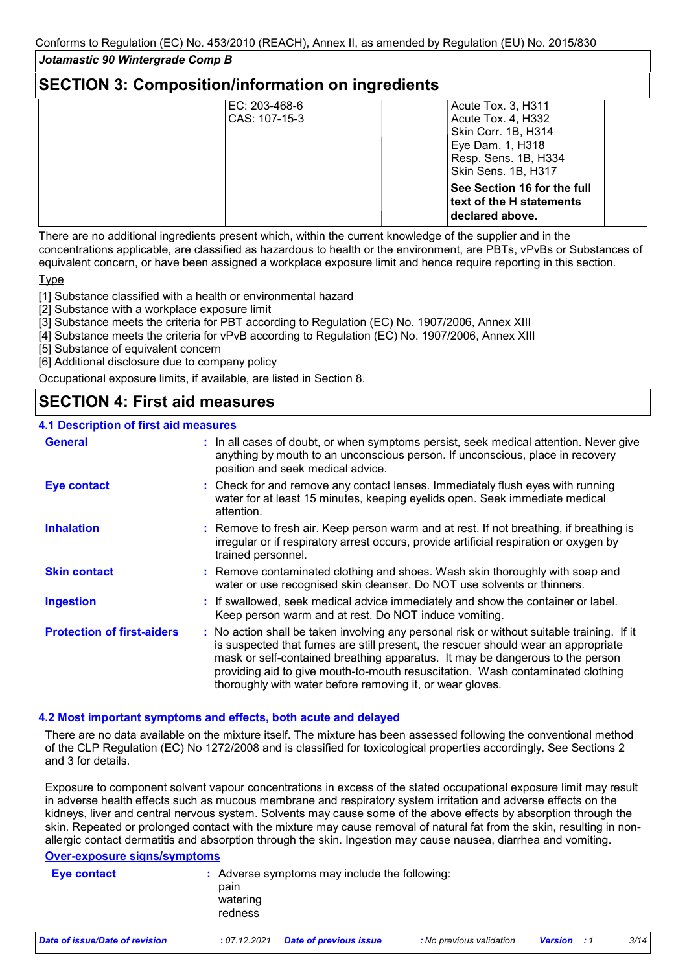# **SECTION 3: Composition/information on ingredients**

| EC: 203-468-6 | Acute Tox. 3, H311          |
|---------------|-----------------------------|
| CAS: 107-15-3 | Acute Tox. 4, H332          |
|               | Skin Corr. 1B, H314         |
|               | Eye Dam. 1, H318            |
|               | Resp. Sens. 1B, H334        |
|               | Skin Sens. 1B, H317         |
|               | See Section 16 for the full |
|               | text of the H statements    |
|               | declared above.             |
|               |                             |

There are no additional ingredients present which, within the current knowledge of the supplier and in the concentrations applicable, are classified as hazardous to health or the environment, are PBTs, vPvBs or Substances of equivalent concern, or have been assigned a workplace exposure limit and hence require reporting in this section.

**Type** 

[1] Substance classified with a health or environmental hazard

[2] Substance with a workplace exposure limit

[3] Substance meets the criteria for PBT according to Regulation (EC) No. 1907/2006, Annex XIII

[4] Substance meets the criteria for vPvB according to Regulation (EC) No. 1907/2006, Annex XIII

[5] Substance of equivalent concern

[6] Additional disclosure due to company policy

Occupational exposure limits, if available, are listed in Section 8.

# **SECTION 4: First aid measures**

# **4.1 Description of first aid measures**

| boodpo o. o. a.u ouou.oo          |                                                                                                                                                                                                                                                                                                                                                                                                                 |
|-----------------------------------|-----------------------------------------------------------------------------------------------------------------------------------------------------------------------------------------------------------------------------------------------------------------------------------------------------------------------------------------------------------------------------------------------------------------|
| <b>General</b>                    | : In all cases of doubt, or when symptoms persist, seek medical attention. Never give<br>anything by mouth to an unconscious person. If unconscious, place in recovery<br>position and seek medical advice.                                                                                                                                                                                                     |
| <b>Eye contact</b>                | : Check for and remove any contact lenses. Immediately flush eyes with running<br>water for at least 15 minutes, keeping eyelids open. Seek immediate medical<br>attention.                                                                                                                                                                                                                                     |
| <b>Inhalation</b>                 | : Remove to fresh air. Keep person warm and at rest. If not breathing, if breathing is<br>irregular or if respiratory arrest occurs, provide artificial respiration or oxygen by<br>trained personnel.                                                                                                                                                                                                          |
| <b>Skin contact</b>               | : Remove contaminated clothing and shoes. Wash skin thoroughly with soap and<br>water or use recognised skin cleanser. Do NOT use solvents or thinners.                                                                                                                                                                                                                                                         |
| <b>Ingestion</b>                  | : If swallowed, seek medical advice immediately and show the container or label.<br>Keep person warm and at rest. Do NOT induce vomiting.                                                                                                                                                                                                                                                                       |
| <b>Protection of first-aiders</b> | : No action shall be taken involving any personal risk or without suitable training. If it<br>is suspected that fumes are still present, the rescuer should wear an appropriate<br>mask or self-contained breathing apparatus. It may be dangerous to the person<br>providing aid to give mouth-to-mouth resuscitation. Wash contaminated clothing<br>thoroughly with water before removing it, or wear gloves. |

### **4.2 Most important symptoms and effects, both acute and delayed**

There are no data available on the mixture itself. The mixture has been assessed following the conventional method of the CLP Regulation (EC) No 1272/2008 and is classified for toxicological properties accordingly. See Sections 2 and 3 for details.

Exposure to component solvent vapour concentrations in excess of the stated occupational exposure limit may result in adverse health effects such as mucous membrane and respiratory system irritation and adverse effects on the kidneys, liver and central nervous system. Solvents may cause some of the above effects by absorption through the skin. Repeated or prolonged contact with the mixture may cause removal of natural fat from the skin, resulting in nonallergic contact dermatitis and absorption through the skin. Ingestion may cause nausea, diarrhea and vomiting.

### **Over-exposure signs/symptoms**

| Eye contact                    | pain<br>watering<br>redness | : Adverse symptoms may include the following: |                          |                |       |      |
|--------------------------------|-----------------------------|-----------------------------------------------|--------------------------|----------------|-------|------|
| Date of issue/Date of revision | : 07.12.2021                | Date of previous issue                        | : No previous validation | <b>Version</b> | . . 1 | 3/14 |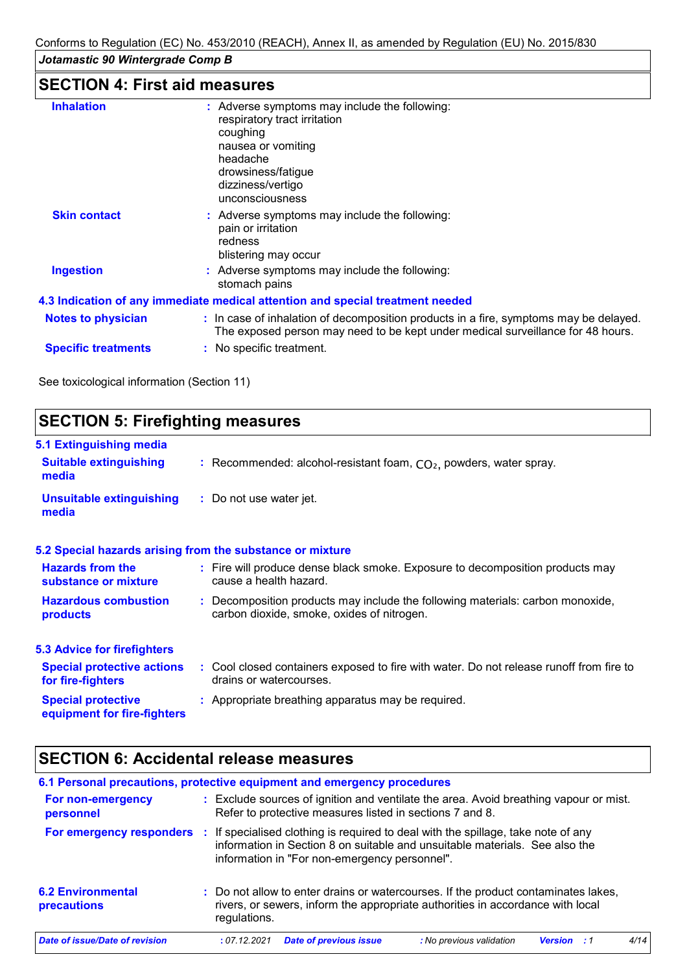# **SECTION 4: First aid measures**

| <b>Inhalation</b>          | : Adverse symptoms may include the following:                                         |
|----------------------------|---------------------------------------------------------------------------------------|
|                            | respiratory tract irritation                                                          |
|                            | coughing                                                                              |
|                            | nausea or vomiting                                                                    |
|                            | headache                                                                              |
|                            | drowsiness/fatique                                                                    |
|                            | dizziness/vertigo                                                                     |
|                            | unconsciousness                                                                       |
| <b>Skin contact</b>        | : Adverse symptoms may include the following:                                         |
|                            | pain or irritation                                                                    |
|                            | redness                                                                               |
|                            | blistering may occur                                                                  |
| <b>Ingestion</b>           | : Adverse symptoms may include the following:                                         |
|                            | stomach pains                                                                         |
|                            | 4.3 Indication of any immediate medical attention and special treatment needed        |
| <b>Notes to physician</b>  | : In case of inhalation of decomposition products in a fire, symptoms may be delayed. |
|                            | The exposed person may need to be kept under medical surveillance for 48 hours.       |
| <b>Specific treatments</b> | : No specific treatment.                                                              |
|                            |                                                                                       |

See toxicological information (Section 11)

#### **SECTION 5: Firefighting measures 5.1 Extinguishing media** Recommended: alcohol-resistant foam, CO₂, powders, water spray. **: :** Do not use water jet. **Hazardous combustion products Hazards from the substance or mixture Special protective equipment for fire-fighters :** Fire will produce dense black smoke. Exposure to decomposition products may **:** Decomposition products may include the following materials: carbon monoxide, **:** Appropriate breathing apparatus may be required. **Suitable extinguishing media Unsuitable extinguishing media 5.2 Special hazards arising from the substance or mixture 5.3 Advice for firefighters Special protective actions for fire-fighters :** Cool closed containers exposed to fire with water. Do not release runoff from fire to cause a health hazard. drains or watercourses. carbon dioxide, smoke, oxides of nitrogen.

# **SECTION 6: Accidental release measures**

| 6.1 Personal precautions, protective equipment and emergency procedures |   |              |                                                                                                                                                   |                                                                                                                                                                      |                    |  |      |
|-------------------------------------------------------------------------|---|--------------|---------------------------------------------------------------------------------------------------------------------------------------------------|----------------------------------------------------------------------------------------------------------------------------------------------------------------------|--------------------|--|------|
| For non-emergency<br>personnel                                          |   |              | : Exclude sources of ignition and ventilate the area. Avoid breathing vapour or mist.<br>Refer to protective measures listed in sections 7 and 8. |                                                                                                                                                                      |                    |  |      |
| For emergency responders                                                | ÷ |              | information in "For non-emergency personnel".                                                                                                     | If specialised clothing is required to deal with the spillage, take note of any<br>information in Section 8 on suitable and unsuitable materials. See also the       |                    |  |      |
| <b>6.2 Environmental</b><br>precautions                                 |   | regulations. |                                                                                                                                                   | : Do not allow to enter drains or watercourses. If the product contaminates lakes,<br>rivers, or sewers, inform the appropriate authorities in accordance with local |                    |  |      |
| Date of issue/Date of revision                                          |   | :07.12.2021  | <b>Date of previous issue</b>                                                                                                                     | : No previous validation                                                                                                                                             | <b>Version</b> : 1 |  | 4/14 |
|                                                                         |   |              |                                                                                                                                                   |                                                                                                                                                                      |                    |  |      |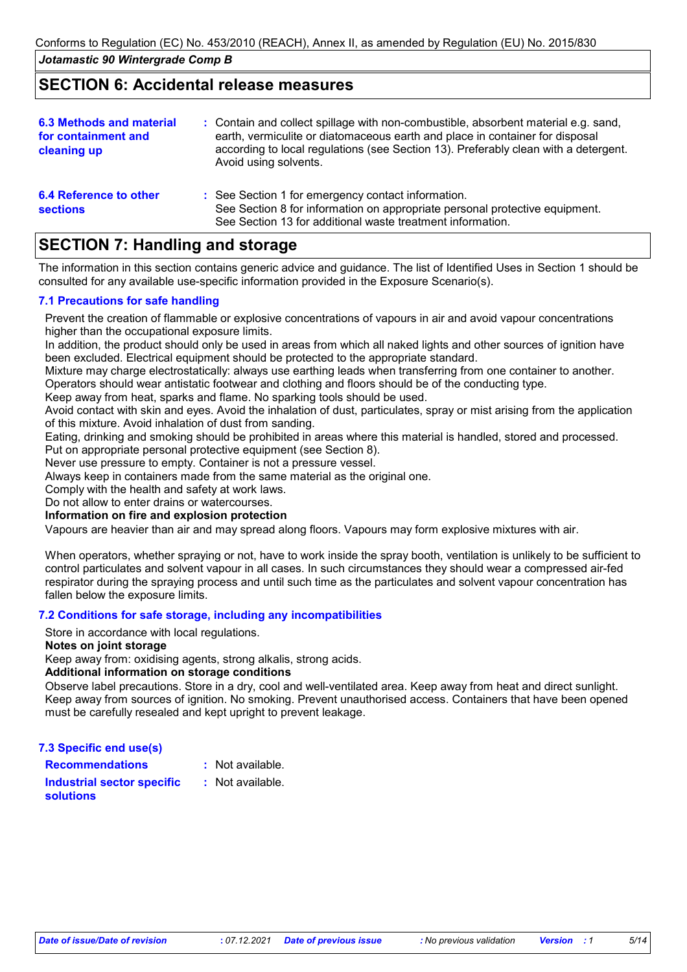# **SECTION 6: Accidental release measures**

| <b>6.3 Methods and material</b><br>for containment and<br>cleaning up | : Contain and collect spillage with non-combustible, absorbent material e.g. sand,<br>earth, vermiculite or diatomaceous earth and place in container for disposal<br>according to local regulations (see Section 13). Preferably clean with a detergent.<br>Avoid using solvents. |
|-----------------------------------------------------------------------|------------------------------------------------------------------------------------------------------------------------------------------------------------------------------------------------------------------------------------------------------------------------------------|
| <b>6.4 Reference to other</b><br><b>sections</b>                      | : See Section 1 for emergency contact information.<br>See Section 8 for information on appropriate personal protective equipment.<br>See Section 13 for additional waste treatment information.                                                                                    |

# **SECTION 7: Handling and storage**

The information in this section contains generic advice and guidance. The list of Identified Uses in Section 1 should be consulted for any available use-specific information provided in the Exposure Scenario(s).

# **7.1 Precautions for safe handling**

Prevent the creation of flammable or explosive concentrations of vapours in air and avoid vapour concentrations higher than the occupational exposure limits.

In addition, the product should only be used in areas from which all naked lights and other sources of ignition have been excluded. Electrical equipment should be protected to the appropriate standard.

Mixture may charge electrostatically: always use earthing leads when transferring from one container to another. Operators should wear antistatic footwear and clothing and floors should be of the conducting type.

Keep away from heat, sparks and flame. No sparking tools should be used.

Avoid contact with skin and eyes. Avoid the inhalation of dust, particulates, spray or mist arising from the application of this mixture. Avoid inhalation of dust from sanding.

Eating, drinking and smoking should be prohibited in areas where this material is handled, stored and processed.

Put on appropriate personal protective equipment (see Section 8).

Never use pressure to empty. Container is not a pressure vessel.

Always keep in containers made from the same material as the original one.

Comply with the health and safety at work laws.

Do not allow to enter drains or watercourses.

# **Information on fire and explosion protection**

Vapours are heavier than air and may spread along floors. Vapours may form explosive mixtures with air.

When operators, whether spraying or not, have to work inside the spray booth, ventilation is unlikely to be sufficient to control particulates and solvent vapour in all cases. In such circumstances they should wear a compressed air-fed respirator during the spraying process and until such time as the particulates and solvent vapour concentration has fallen below the exposure limits.

### **7.2 Conditions for safe storage, including any incompatibilities**

Store in accordance with local regulations.

#### **Notes on joint storage**

Keep away from: oxidising agents, strong alkalis, strong acids.

### **Additional information on storage conditions**

Observe label precautions. Store in a dry, cool and well-ventilated area. Keep away from heat and direct sunlight. Keep away from sources of ignition. No smoking. Prevent unauthorised access. Containers that have been opened must be carefully resealed and kept upright to prevent leakage.

**7.3 Specific end use(s)**

**Recommendations :**

: Not available.

**Industrial sector specific : solutions**

: Not available.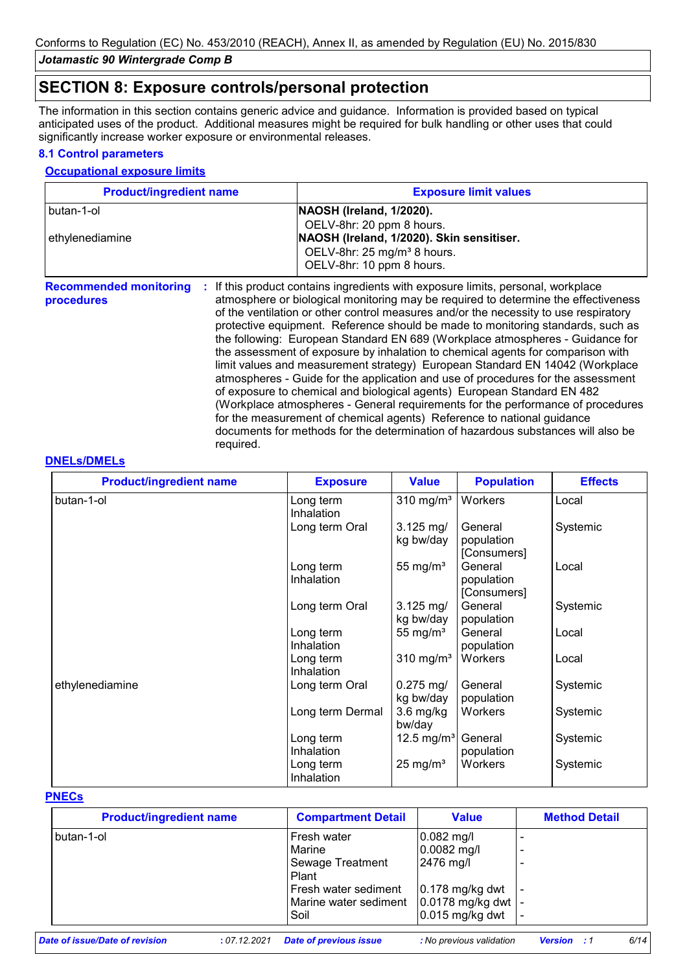# **SECTION 8: Exposure controls/personal protection**

The information in this section contains generic advice and guidance. Information is provided based on typical anticipated uses of the product. Additional measures might be required for bulk handling or other uses that could significantly increase worker exposure or environmental releases.

# **8.1 Control parameters**

## **Occupational exposure limits**

| <b>Product/ingredient name</b>                                 | <b>Exposure limit values</b>                                                                                                                                                                                                                                                                                                                                                                                                                                                                                                                                                                                                                                                                                                                                                                                                                                                                                                                                                                                        |
|----------------------------------------------------------------|---------------------------------------------------------------------------------------------------------------------------------------------------------------------------------------------------------------------------------------------------------------------------------------------------------------------------------------------------------------------------------------------------------------------------------------------------------------------------------------------------------------------------------------------------------------------------------------------------------------------------------------------------------------------------------------------------------------------------------------------------------------------------------------------------------------------------------------------------------------------------------------------------------------------------------------------------------------------------------------------------------------------|
| butan-1-ol<br>ethylenediamine                                  | NAOSH (Ireland, 1/2020).<br>OELV-8hr: 20 ppm 8 hours.<br>NAOSH (Ireland, 1/2020). Skin sensitiser.<br>OELV-8hr: 25 mg/m <sup>3</sup> 8 hours.<br>OELV-8hr: 10 ppm 8 hours.                                                                                                                                                                                                                                                                                                                                                                                                                                                                                                                                                                                                                                                                                                                                                                                                                                          |
| <b>Recommended monitoring</b><br>÷.<br>procedures<br>required. | If this product contains ingredients with exposure limits, personal, workplace<br>atmosphere or biological monitoring may be required to determine the effectiveness<br>of the ventilation or other control measures and/or the necessity to use respiratory<br>protective equipment. Reference should be made to monitoring standards, such as<br>the following: European Standard EN 689 (Workplace atmospheres - Guidance for<br>the assessment of exposure by inhalation to chemical agents for comparison with<br>limit values and measurement strategy) European Standard EN 14042 (Workplace<br>atmospheres - Guide for the application and use of procedures for the assessment<br>of exposure to chemical and biological agents) European Standard EN 482<br>(Workplace atmospheres - General requirements for the performance of procedures<br>for the measurement of chemical agents) Reference to national guidance<br>documents for methods for the determination of hazardous substances will also be |

### **DNELs/DMELs**

| <b>Product/ingredient name</b> | <b>Exposure</b>         | <b>Value</b>                        | <b>Population</b>                    | <b>Effects</b> |
|--------------------------------|-------------------------|-------------------------------------|--------------------------------------|----------------|
| butan-1-ol                     | Long term<br>Inhalation | $310$ mg/m <sup>3</sup>             | Workers                              | Local          |
|                                | Long term Oral          | $3.125 \,\mathrm{mg}/$<br>kg bw/day | General<br>population<br>[Consumers] | Systemic       |
|                                | Long term<br>Inhalation | 55 mg/ $m3$                         | General<br>population<br>[Consumers] | Local          |
|                                | Long term Oral          | $3.125 \text{ mg}$<br>kg bw/day     | General<br>population                | Systemic       |
|                                | Long term<br>Inhalation | 55 mg/ $m3$                         | General<br>population                | Local          |
|                                | Long term<br>Inhalation | $310$ mg/m <sup>3</sup>             | Workers                              | Local          |
| ethylenediamine                | Long term Oral          | $0.275$ mg/<br>kg bw/day            | General<br>population                | Systemic       |
|                                | Long term Dermal        | $3.6$ mg/kg<br>bw/day               | Workers                              | Systemic       |
|                                | Long term<br>Inhalation | 12.5 mg/m <sup>3</sup>              | General<br>population                | Systemic       |
|                                | Long term<br>Inhalation | $25 \text{ mg/m}^3$                 | Workers                              | Systemic       |

# **PNECs**

| <b>Product/ingredient name</b> | <b>Compartment Detail</b>                                                                                   | <b>Value</b>                                                                                               | <b>Method Detail</b> |
|--------------------------------|-------------------------------------------------------------------------------------------------------------|------------------------------------------------------------------------------------------------------------|----------------------|
| l butan-1-ol                   | Fresh water<br>Marine<br>Sewage Treatment<br>Plant<br>Fresh water sediment<br>Marine water sediment<br>Soil | $0.082$ mg/l<br>$0.0082$ mg/l<br>2476 mg/l<br>$0.178$ mg/kg dwt<br>$0.0178$ mg/kg dwt<br>$0.015$ mg/kg dwt |                      |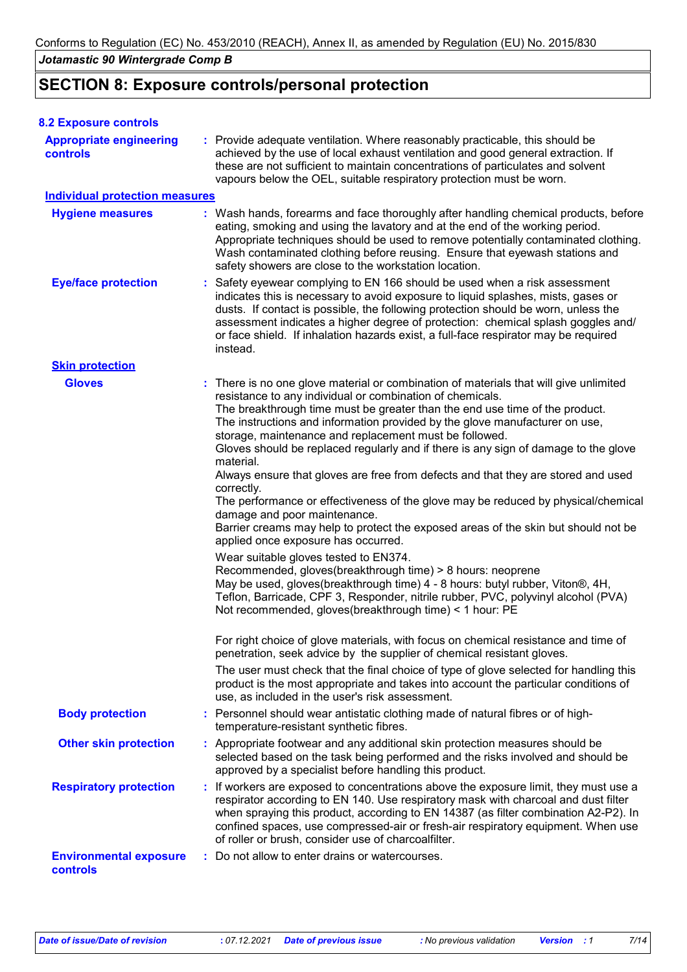# **SECTION 8: Exposure controls/personal protection**

| <b>8.2 Exposure controls</b>                      |                                                                                                                                                                                                                                                                                                                                                                                                                                                                                                                                                                                                                                                                                                                                                                                                                                                                                                                                                                                                                                                                                                                                                                                                                                                                                                                                                                                                                                                                                                                                                                                |
|---------------------------------------------------|--------------------------------------------------------------------------------------------------------------------------------------------------------------------------------------------------------------------------------------------------------------------------------------------------------------------------------------------------------------------------------------------------------------------------------------------------------------------------------------------------------------------------------------------------------------------------------------------------------------------------------------------------------------------------------------------------------------------------------------------------------------------------------------------------------------------------------------------------------------------------------------------------------------------------------------------------------------------------------------------------------------------------------------------------------------------------------------------------------------------------------------------------------------------------------------------------------------------------------------------------------------------------------------------------------------------------------------------------------------------------------------------------------------------------------------------------------------------------------------------------------------------------------------------------------------------------------|
| <b>Appropriate engineering</b><br><b>controls</b> | : Provide adequate ventilation. Where reasonably practicable, this should be<br>achieved by the use of local exhaust ventilation and good general extraction. If<br>these are not sufficient to maintain concentrations of particulates and solvent<br>vapours below the OEL, suitable respiratory protection must be worn.                                                                                                                                                                                                                                                                                                                                                                                                                                                                                                                                                                                                                                                                                                                                                                                                                                                                                                                                                                                                                                                                                                                                                                                                                                                    |
| <b>Individual protection measures</b>             |                                                                                                                                                                                                                                                                                                                                                                                                                                                                                                                                                                                                                                                                                                                                                                                                                                                                                                                                                                                                                                                                                                                                                                                                                                                                                                                                                                                                                                                                                                                                                                                |
| <b>Hygiene measures</b>                           | : Wash hands, forearms and face thoroughly after handling chemical products, before<br>eating, smoking and using the lavatory and at the end of the working period.<br>Appropriate techniques should be used to remove potentially contaminated clothing.<br>Wash contaminated clothing before reusing. Ensure that eyewash stations and<br>safety showers are close to the workstation location.                                                                                                                                                                                                                                                                                                                                                                                                                                                                                                                                                                                                                                                                                                                                                                                                                                                                                                                                                                                                                                                                                                                                                                              |
| <b>Eye/face protection</b>                        | Safety eyewear complying to EN 166 should be used when a risk assessment<br>indicates this is necessary to avoid exposure to liquid splashes, mists, gases or<br>dusts. If contact is possible, the following protection should be worn, unless the<br>assessment indicates a higher degree of protection: chemical splash goggles and/<br>or face shield. If inhalation hazards exist, a full-face respirator may be required<br>instead.                                                                                                                                                                                                                                                                                                                                                                                                                                                                                                                                                                                                                                                                                                                                                                                                                                                                                                                                                                                                                                                                                                                                     |
| <b>Skin protection</b>                            |                                                                                                                                                                                                                                                                                                                                                                                                                                                                                                                                                                                                                                                                                                                                                                                                                                                                                                                                                                                                                                                                                                                                                                                                                                                                                                                                                                                                                                                                                                                                                                                |
| <b>Gloves</b>                                     | : There is no one glove material or combination of materials that will give unlimited<br>resistance to any individual or combination of chemicals.<br>The breakthrough time must be greater than the end use time of the product.<br>The instructions and information provided by the glove manufacturer on use,<br>storage, maintenance and replacement must be followed.<br>Gloves should be replaced regularly and if there is any sign of damage to the glove<br>material.<br>Always ensure that gloves are free from defects and that they are stored and used<br>correctly.<br>The performance or effectiveness of the glove may be reduced by physical/chemical<br>damage and poor maintenance.<br>Barrier creams may help to protect the exposed areas of the skin but should not be<br>applied once exposure has occurred.<br>Wear suitable gloves tested to EN374.<br>Recommended, gloves(breakthrough time) > 8 hours: neoprene<br>May be used, gloves(breakthrough time) 4 - 8 hours: butyl rubber, Viton®, 4H,<br>Teflon, Barricade, CPF 3, Responder, nitrile rubber, PVC, polyvinyl alcohol (PVA)<br>Not recommended, gloves(breakthrough time) < 1 hour: PE<br>For right choice of glove materials, with focus on chemical resistance and time of<br>penetration, seek advice by the supplier of chemical resistant gloves.<br>The user must check that the final choice of type of glove selected for handling this<br>product is the most appropriate and takes into account the particular conditions of<br>use, as included in the user's risk assessment. |
| <b>Body protection</b>                            | : Personnel should wear antistatic clothing made of natural fibres or of high-<br>temperature-resistant synthetic fibres.                                                                                                                                                                                                                                                                                                                                                                                                                                                                                                                                                                                                                                                                                                                                                                                                                                                                                                                                                                                                                                                                                                                                                                                                                                                                                                                                                                                                                                                      |
| <b>Other skin protection</b>                      | : Appropriate footwear and any additional skin protection measures should be<br>selected based on the task being performed and the risks involved and should be<br>approved by a specialist before handling this product.                                                                                                                                                                                                                                                                                                                                                                                                                                                                                                                                                                                                                                                                                                                                                                                                                                                                                                                                                                                                                                                                                                                                                                                                                                                                                                                                                      |
| <b>Respiratory protection</b>                     | : If workers are exposed to concentrations above the exposure limit, they must use a<br>respirator according to EN 140. Use respiratory mask with charcoal and dust filter<br>when spraying this product, according to EN 14387 (as filter combination A2-P2). In<br>confined spaces, use compressed-air or fresh-air respiratory equipment. When use<br>of roller or brush, consider use of charcoalfilter.                                                                                                                                                                                                                                                                                                                                                                                                                                                                                                                                                                                                                                                                                                                                                                                                                                                                                                                                                                                                                                                                                                                                                                   |
| <b>Environmental exposure</b><br>controls         | Do not allow to enter drains or watercourses.                                                                                                                                                                                                                                                                                                                                                                                                                                                                                                                                                                                                                                                                                                                                                                                                                                                                                                                                                                                                                                                                                                                                                                                                                                                                                                                                                                                                                                                                                                                                  |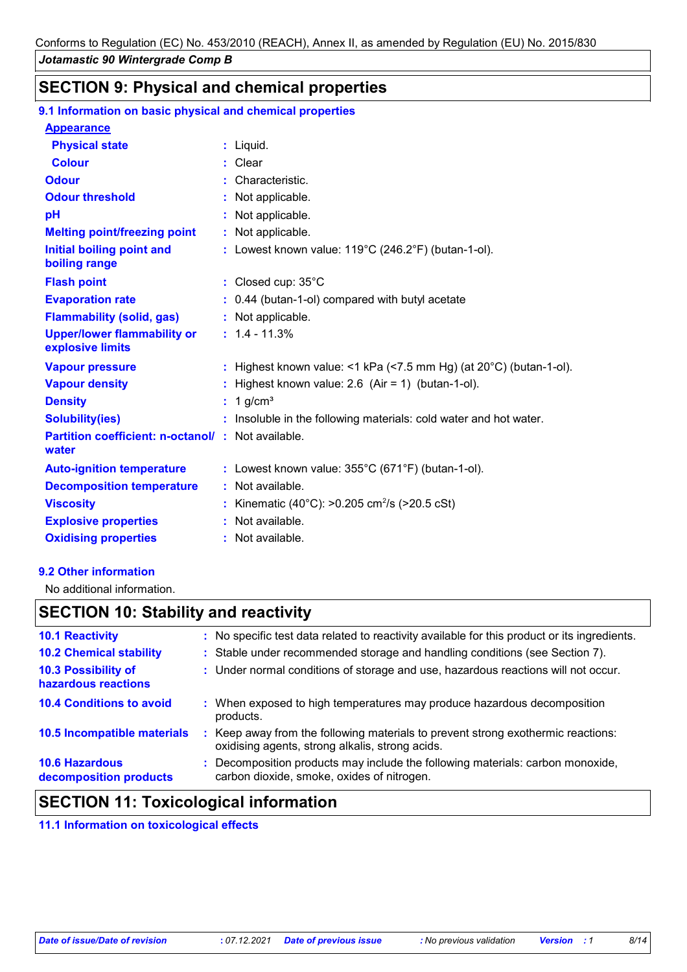# **SECTION 9: Physical and chemical properties**

# **9.1 Information on basic physical and chemical properties**

| <b>Appearance</b>                                          |                                                                              |
|------------------------------------------------------------|------------------------------------------------------------------------------|
| <b>Physical state</b>                                      | $:$ Liquid.                                                                  |
| <b>Colour</b>                                              | $:$ Clear                                                                    |
| <b>Odour</b>                                               | : Characteristic.                                                            |
| <b>Odour threshold</b>                                     | : Not applicable.                                                            |
| pH                                                         | Not applicable.                                                              |
| <b>Melting point/freezing point</b>                        | : Not applicable.                                                            |
| <b>Initial boiling point and</b><br>boiling range          | : Lowest known value: $119^{\circ}$ C (246.2°F) (butan-1-ol).                |
| <b>Flash point</b>                                         | : Closed cup: 35°C                                                           |
| <b>Evaporation rate</b>                                    | : 0.44 (butan-1-ol) compared with butyl acetate                              |
| <b>Flammability (solid, gas)</b>                           | : Not applicable.                                                            |
| <b>Upper/lower flammability or</b><br>explosive limits     | $: 1.4 - 11.3%$                                                              |
| <b>Vapour pressure</b>                                     | : Highest known value: <1 kPa (<7.5 mm Hg) (at $20^{\circ}$ C) (butan-1-ol). |
| <b>Vapour density</b>                                      | Highest known value: $2.6$ (Air = 1) (butan-1-ol).                           |
| <b>Density</b>                                             | 1 $q/cm3$                                                                    |
| <b>Solubility(ies)</b>                                     | : Insoluble in the following materials: cold water and hot water.            |
| Partition coefficient: n-octanol/: Not available.<br>water |                                                                              |
| <b>Auto-ignition temperature</b>                           | : Lowest known value: $355^{\circ}$ C (671 $^{\circ}$ F) (butan-1-ol).       |
| <b>Decomposition temperature</b>                           | : Not available.                                                             |
| <b>Viscosity</b>                                           | Kinematic (40°C): >0.205 cm <sup>2</sup> /s (>20.5 cSt)                      |
| <b>Explosive properties</b>                                | : Not available.                                                             |
| <b>Oxidising properties</b>                                | : Not available.                                                             |

# **9.2 Other information**

No additional information.

# **SECTION 10: Stability and reactivity**

| : No specific test data related to reactivity available for this product or its ingredients.                                        |
|-------------------------------------------------------------------------------------------------------------------------------------|
| : Stable under recommended storage and handling conditions (see Section 7).                                                         |
| : Under normal conditions of storage and use, hazardous reactions will not occur.                                                   |
| : When exposed to high temperatures may produce hazardous decomposition<br>products.                                                |
| : Keep away from the following materials to prevent strong exothermic reactions:<br>oxidising agents, strong alkalis, strong acids. |
| : Decomposition products may include the following materials: carbon monoxide,<br>carbon dioxide, smoke, oxides of nitrogen.        |
|                                                                                                                                     |

# **SECTION 11: Toxicological information**

**11.1 Information on toxicological effects**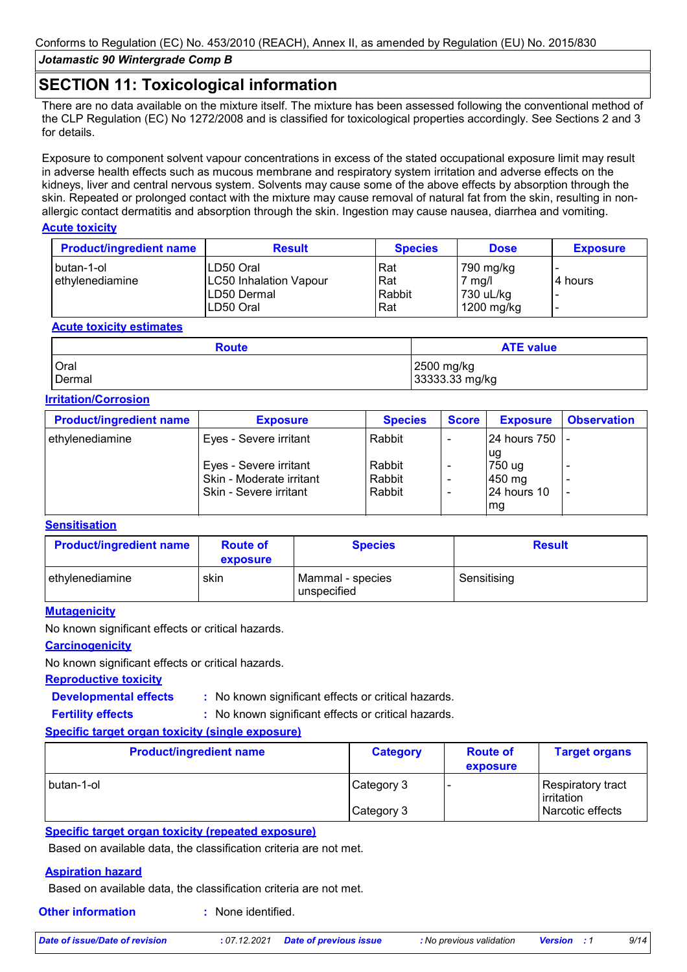# **SECTION 11: Toxicological information**

There are no data available on the mixture itself. The mixture has been assessed following the conventional method of the CLP Regulation (EC) No 1272/2008 and is classified for toxicological properties accordingly. See Sections 2 and 3 for details.

Exposure to component solvent vapour concentrations in excess of the stated occupational exposure limit may result in adverse health effects such as mucous membrane and respiratory system irritation and adverse effects on the kidneys, liver and central nervous system. Solvents may cause some of the above effects by absorption through the skin. Repeated or prolonged contact with the mixture may cause removal of natural fat from the skin, resulting in nonallergic contact dermatitis and absorption through the skin. Ingestion may cause nausea, diarrhea and vomiting.

### **Acute toxicity**

| <b>Product/ingredient name</b> | <b>Result</b>                 | <b>Species</b> | <b>Dose</b>      | <b>Exposure</b> |
|--------------------------------|-------------------------------|----------------|------------------|-----------------|
| I butan-1-ol                   | LD50 Oral                     | Rat            | 790 mg/kg        |                 |
| Iethvlenediamine               | <b>LC50 Inhalation Vapour</b> | Rat            | $7 \text{ mg/l}$ | 4 hours         |
|                                | ILD50 Dermal                  | Rabbit         | 730 uL/kg        |                 |
|                                | LD50 Oral                     | Rat            | 1200 mg/kg       | -               |

### **Acute toxicity estimates**

| <b>Route</b> | <b>ATE value</b> |
|--------------|------------------|
| Oral         | 2500 mg/kg       |
| Dermal       | 33333.33 mg/kg   |

# **Irritation/Corrosion**

| <b>Product/ingredient name</b> | <b>Exposure</b>          | <b>Species</b> | Score | <b>Exposure</b> | <b>Observation</b> |
|--------------------------------|--------------------------|----------------|-------|-----------------|--------------------|
| ethylenediamine                | Eyes - Severe irritant   | Rabbit         |       | l24 hours 750   |                    |
|                                | Eyes - Severe irritant   | Rabbit         |       | ug<br>750 ug    |                    |
|                                | Skin - Moderate irritant | Rabbit         |       | 450 mg          |                    |
|                                | Skin - Severe irritant   | Rabbit         |       | 24 hours 10     |                    |
|                                |                          |                |       | mg              |                    |

# **Sensitisation**

| <b>Product/ingredient name</b> | <b>Route of</b><br>exposure | <b>Species</b>                  | <b>Result</b> |
|--------------------------------|-----------------------------|---------------------------------|---------------|
| l ethvlenediamine              | skin                        | Mammal - species<br>unspecified | Sensitising   |

### **Mutagenicity**

No known significant effects or critical hazards.

# **Carcinogenicity**

No known significant effects or critical hazards.

#### **Reproductive toxicity**

**Developmental effects :**

: No known significant effects or critical hazards.

**Fertility effects :**

: No known significant effects or critical hazards.

### **Specific target organ toxicity (single exposure)**

| <b>Product/ingredient name</b> | <b>Category</b> | <b>Route of</b><br>exposure | <b>Target organs</b>            |
|--------------------------------|-----------------|-----------------------------|---------------------------------|
| I butan-1-ol                   | Category 3      |                             | Respiratory tract<br>irritation |
|                                | Category 3      |                             | Narcotic effects                |

### **Specific target organ toxicity (repeated exposure)**

Based on available data, the classification criteria are not met.

#### **Aspiration hazard**

Based on available data, the classification criteria are not met.

**Other information :** : None identified.

*Date of issue/Date of revision* **:** *07.12.2021 Date of previous issue : No previous validation Version : 1 9/14*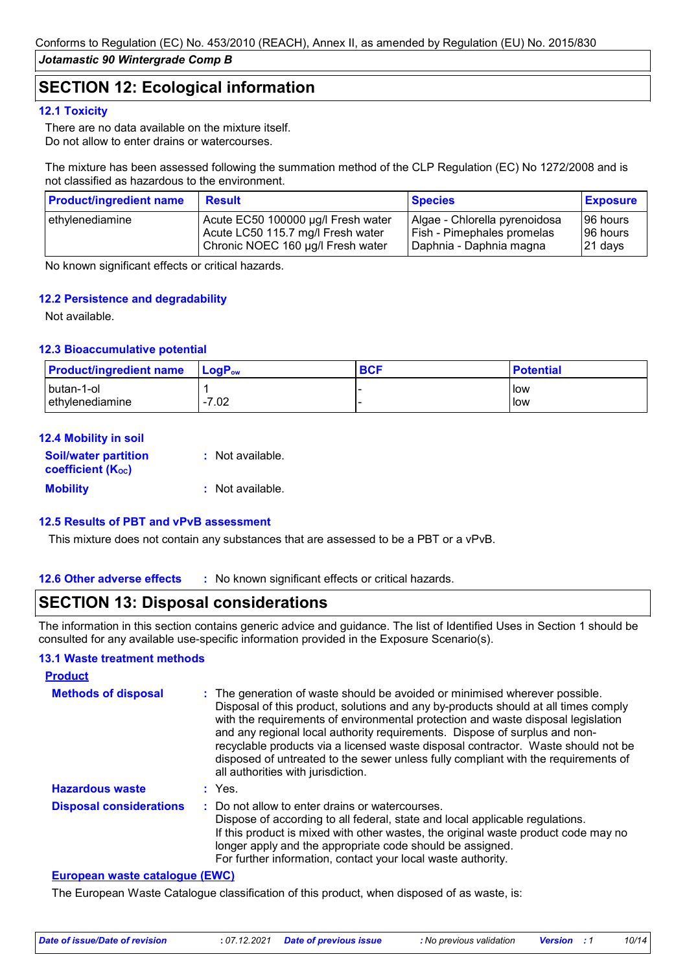# **SECTION 12: Ecological information**

### **12.1 Toxicity**

There are no data available on the mixture itself. Do not allow to enter drains or watercourses.

The mixture has been assessed following the summation method of the CLP Regulation (EC) No 1272/2008 and is not classified as hazardous to the environment.

| <b>Product/ingredient name</b> | <b>Result</b>                      | <b>Species</b>                | <b>Exposure</b> |
|--------------------------------|------------------------------------|-------------------------------|-----------------|
| ethylenediamine                | Acute EC50 100000 µg/l Fresh water | Algae - Chlorella pyrenoidosa | 196 hours       |
|                                | Acute LC50 115.7 mg/l Fresh water  | Fish - Pimephales promelas    | 196 hours       |
|                                | Chronic NOEC 160 µg/l Fresh water  | Daphnia - Daphnia magna       | 21 days         |

No known significant effects or critical hazards.

### **12.2 Persistence and degradability**

Not available.

### **12.3 Bioaccumulative potential**

| <b>Product/ingredient name</b> | $\blacksquare$ Log $\mathsf{P}_\mathsf{ow}$ | <b>BCF</b> | <b>Potential</b> |
|--------------------------------|---------------------------------------------|------------|------------------|
| I butan-1-ol                   |                                             |            | llow             |
| Iethvlenediamine               | $-7.02$                                     |            | low              |

### **12.4 Mobility in soil**

| <b>Soil/water partition</b><br><b>coefficient (Koc)</b> | : Not available. |
|---------------------------------------------------------|------------------|
| <b>Mobility</b>                                         | : Not available. |

### **12.5 Results of PBT and vPvB assessment**

This mixture does not contain any substances that are assessed to be a PBT or a vPvB.

**12.6 Other adverse effects** : No known significant effects or critical hazards.

# **SECTION 13: Disposal considerations**

The information in this section contains generic advice and guidance. The list of Identified Uses in Section 1 should be consulted for any available use-specific information provided in the Exposure Scenario(s).

#### **13.1 Waste treatment methods**

| <b>Product</b>                 |                                                                                                                                                                                                                                                                                                                                                                                                                                                                                                                                                      |
|--------------------------------|------------------------------------------------------------------------------------------------------------------------------------------------------------------------------------------------------------------------------------------------------------------------------------------------------------------------------------------------------------------------------------------------------------------------------------------------------------------------------------------------------------------------------------------------------|
| <b>Methods of disposal</b>     | : The generation of waste should be avoided or minimised wherever possible.<br>Disposal of this product, solutions and any by-products should at all times comply<br>with the requirements of environmental protection and waste disposal legislation<br>and any regional local authority requirements. Dispose of surplus and non-<br>recyclable products via a licensed waste disposal contractor. Waste should not be<br>disposed of untreated to the sewer unless fully compliant with the requirements of<br>all authorities with jurisdiction. |
| <b>Hazardous waste</b>         | : Yes.                                                                                                                                                                                                                                                                                                                                                                                                                                                                                                                                               |
| <b>Disposal considerations</b> | : Do not allow to enter drains or watercourses.<br>Dispose of according to all federal, state and local applicable regulations.<br>If this product is mixed with other wastes, the original waste product code may no<br>longer apply and the appropriate code should be assigned.<br>For further information, contact your local waste authority.                                                                                                                                                                                                   |

#### **European waste catalogue (EWC)**

The European Waste Catalogue classification of this product, when disposed of as waste, is: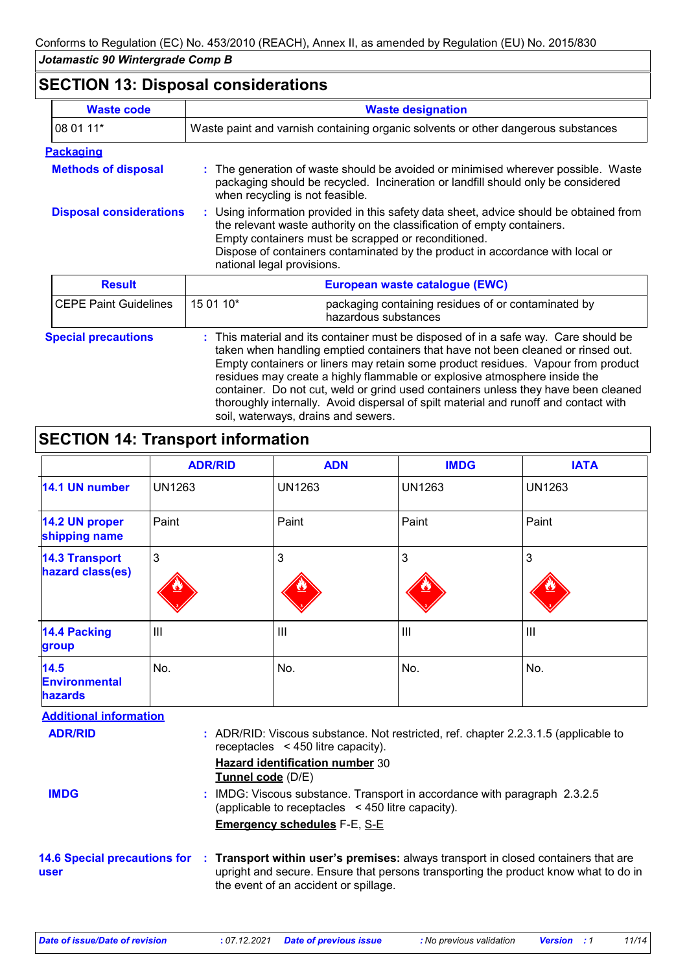# **SECTION 13: Disposal considerations**

| <b>Waste code</b>              |                                                                                                                                                                                                                                                                                                                                         | <b>Waste designation</b>                                                                                                                                                                                                                                                                                                               |  |
|--------------------------------|-----------------------------------------------------------------------------------------------------------------------------------------------------------------------------------------------------------------------------------------------------------------------------------------------------------------------------------------|----------------------------------------------------------------------------------------------------------------------------------------------------------------------------------------------------------------------------------------------------------------------------------------------------------------------------------------|--|
| 08 01 11*                      | Waste paint and varnish containing organic solvents or other dangerous substances                                                                                                                                                                                                                                                       |                                                                                                                                                                                                                                                                                                                                        |  |
| <b>Packaging</b>               |                                                                                                                                                                                                                                                                                                                                         |                                                                                                                                                                                                                                                                                                                                        |  |
| <b>Methods of disposal</b>     | when recycling is not feasible.                                                                                                                                                                                                                                                                                                         | The generation of waste should be avoided or minimised wherever possible. Waste<br>packaging should be recycled. Incineration or landfill should only be considered                                                                                                                                                                    |  |
| <b>Disposal considerations</b> | : Using information provided in this safety data sheet, advice should be obtained from<br>the relevant waste authority on the classification of empty containers.<br>Empty containers must be scrapped or reconditioned.<br>Dispose of containers contaminated by the product in accordance with local or<br>national legal provisions. |                                                                                                                                                                                                                                                                                                                                        |  |
| <b>Result</b>                  | European waste catalogue (EWC)                                                                                                                                                                                                                                                                                                          |                                                                                                                                                                                                                                                                                                                                        |  |
| <b>CEPE Paint Guidelines</b>   | 15 01 10*                                                                                                                                                                                                                                                                                                                               | packaging containing residues of or contaminated by<br>hazardous substances                                                                                                                                                                                                                                                            |  |
| <b>Special precautions</b>     |                                                                                                                                                                                                                                                                                                                                         | This material and its container must be disposed of in a safe way. Care should be<br>taken when handling emptied containers that have not been cleaned or rinsed out.<br>Empty containers or liners may retain some product residues. Vapour from product<br>residues may create a highly flammable or explosive atmosphere inside the |  |

container. Do not cut, weld or grind used containers unless they have been cleaned thoroughly internally. Avoid dispersal of spilt material and runoff and contact with soil, waterways, drains and sewers.

# **SECTION 14: Transport information**

|                                           | <b>ADR/RID</b> | <b>ADN</b>     | <b>IMDG</b>   | <b>IATA</b>        |
|-------------------------------------------|----------------|----------------|---------------|--------------------|
| 14.1 UN number                            | <b>UN1263</b>  | <b>UN1263</b>  | <b>UN1263</b> | <b>UN1263</b>      |
| 14.2 UN proper<br>shipping name           | Paint          | Paint          | Paint         | Paint              |
| <b>14.3 Transport</b><br>hazard class(es) | 3              | 3              | 3             | 3                  |
| <b>14.4 Packing</b><br>group              | $\mathbf{III}$ | $\mathbf{III}$ | Ш             | $\mathop{\rm III}$ |
| 14.5<br><b>Environmental</b><br>hazards   | No.            | No.            | No.           | No.                |

| <b>Additional information</b> |                                                                                                                                                                                                                                                 |
|-------------------------------|-------------------------------------------------------------------------------------------------------------------------------------------------------------------------------------------------------------------------------------------------|
| <b>ADR/RID</b>                | : ADR/RID: Viscous substance. Not restricted, ref. chapter 2.2.3.1.5 (applicable to<br>receptacles $\leq$ 450 litre capacity).                                                                                                                  |
|                               | <b>Hazard identification number 30</b><br>Tunnel code (D/E)                                                                                                                                                                                     |
| <b>IMDG</b>                   | : IMDG: Viscous substance. Transport in accordance with paragraph 2.3.2.5<br>(applicable to receptacles $\leq$ 450 litre capacity).                                                                                                             |
|                               | <b>Emergency schedules F-E, S-E</b>                                                                                                                                                                                                             |
| user                          | 14.6 Special precautions for : Transport within user's premises: always transport in closed containers that are<br>upright and secure. Ensure that persons transporting the product know what to do in<br>the event of an accident or spillage. |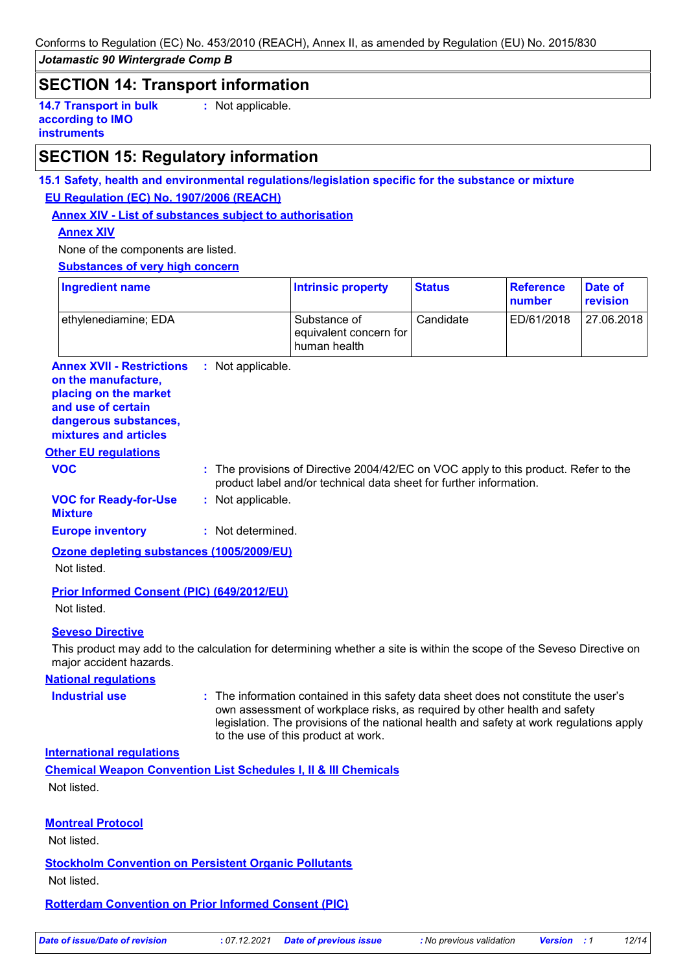Conforms to Regulation (EC) No. 453/2010 (REACH), Annex II, as amended by Regulation (EU) No. 2015/830

*Jotamastic 90 Wintergrade Comp B*

# **SECTION 14: Transport information**

**14.7 Transport in bulk according to IMO instruments**

**:** Not applicable.

# **SECTION 15: Regulatory information**

# **15.1 Safety, health and environmental regulations/legislation specific for the substance or mixture EU Regulation (EC) No. 1907/2006 (REACH)**

**Annex XIV - List of substances subject to authorisation**

## **Annex XIV**

None of the components are listed.

### **Substances of very high concern**

| Ingredient name      | <b>Intrinsic property</b>                              | <b>Status</b> | <b>Reference</b><br>number | Date of<br>revision |
|----------------------|--------------------------------------------------------|---------------|----------------------------|---------------------|
| ethylenediamine; EDA | Substance of<br>equivalent concern for<br>human health | Candidate     | ED/61/2018                 | 27.06.2018          |

#### **Annex XVII - Restrictions** : Not applicable.

**on the manufacture, placing on the market and use of certain** 

# **dangerous substances,**

**mixtures and articles**

### **Other EU regulations**

**VOC :** The provisions of Directive 2004/42/EC on VOC apply to this product. Refer to the product label and/or technical data sheet for further information.

#### **VOC for Ready-for-Use :** Not applicable.

**Mixture**

**Europe inventory :** Not determined.

# **Ozone depleting substances (1005/2009/EU)**

Not listed.

### **Prior Informed Consent (PIC) (649/2012/EU)**

Not listed.

### **Seveso Directive**

This product may add to the calculation for determining whether a site is within the scope of the Seveso Directive on major accident hazards.

### **National regulations**

**Industrial use :** The information contained in this safety data sheet does not constitute the user's own assessment of workplace risks, as required by other health and safety legislation. The provisions of the national health and safety at work regulations apply to the use of this product at work.

### **International regulations**

**Chemical Weapon Convention List Schedules I, II & III Chemicals** Not listed.

### **Montreal Protocol**

Not listed.

### **Stockholm Convention on Persistent Organic Pollutants**

Not listed.

### **Rotterdam Convention on Prior Informed Consent (PIC)**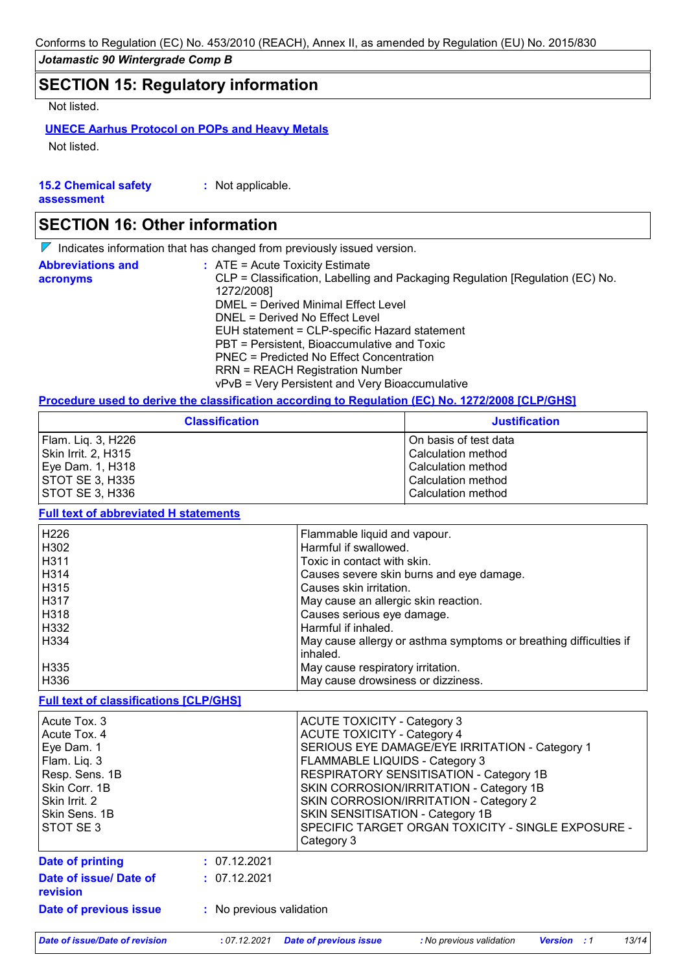# **SECTION 15: Regulatory information**

Not listed.

# **UNECE Aarhus Protocol on POPs and Heavy Metals**

Not listed.

| <b>15.2 Chemical safety</b> | : Not applicable. |
|-----------------------------|-------------------|
| assessment                  |                   |

# **SECTION 16: Other information**

 $\nabla$  Indicates information that has changed from previously issued version.

| <b>Abbreviations and</b> | $\therefore$ ATE = Acute Toxicity Estimate                                    |
|--------------------------|-------------------------------------------------------------------------------|
| acronyms                 | CLP = Classification, Labelling and Packaging Regulation [Regulation (EC) No. |
|                          | 1272/2008]                                                                    |
|                          | DMEL = Derived Minimal Effect Level                                           |
|                          | DNEL = Derived No Effect Level                                                |
|                          | EUH statement = CLP-specific Hazard statement                                 |
|                          | PBT = Persistent, Bioaccumulative and Toxic                                   |
|                          | PNEC = Predicted No Effect Concentration                                      |
|                          | <b>RRN = REACH Registration Number</b>                                        |
|                          | vPvB = Very Persistent and Very Bioaccumulative                               |

# **Procedure used to derive the classification according to Regulation (EC) No. 1272/2008 [CLP/GHS]**

| <b>Classification</b> | <b>Justification</b>  |
|-----------------------|-----------------------|
| Flam. Lig. 3, H226    | On basis of test data |
| Skin Irrit. 2, H315   | Calculation method    |
| Eye Dam. 1, H318      | Calculation method    |
| STOT SE 3, H335       | Calculation method    |
| STOT SE 3, H336       | Calculation method    |

### **Full text of abbreviated H statements**

| H226        | Flammable liquid and vapour.                                      |
|-------------|-------------------------------------------------------------------|
| H302        | Harmful if swallowed.                                             |
| H311        | Toxic in contact with skin.                                       |
| <b>H314</b> | Causes severe skin burns and eye damage.                          |
| H315        | Causes skin irritation.                                           |
| l H317      | May cause an allergic skin reaction.                              |
| H318        | Causes serious eye damage.                                        |
| H332        | Harmful if inhaled.                                               |
| H334        | May cause allergy or asthma symptoms or breathing difficulties if |
|             | inhaled.                                                          |
| H335        | May cause respiratory irritation.                                 |
| H336        | May cause drowsiness or dizziness.                                |

#### **Full text of classifications [CLP/GHS]**

| Acute Tox, 3<br>Acute Tox. 4<br>Eye Dam. 1<br>Flam. Liq. 3<br>Resp. Sens. 1B<br>Skin Corr. 1B<br>Skin Irrit. 2<br>Skin Sens. 1B<br>STOT SE3 |                          | <b>ACUTE TOXICITY - Category 3</b><br><b>ACUTE TOXICITY - Category 4</b><br>SERIOUS EYE DAMAGE/EYE IRRITATION - Category 1<br>FLAMMABLE LIQUIDS - Category 3<br>RESPIRATORY SENSITISATION - Category 1B<br>SKIN CORROSION/IRRITATION - Category 1B<br>SKIN CORROSION/IRRITATION - Category 2<br>SKIN SENSITISATION - Category 1B<br>SPECIFIC TARGET ORGAN TOXICITY - SINGLE EXPOSURE -<br>Category 3 |
|---------------------------------------------------------------------------------------------------------------------------------------------|--------------------------|------------------------------------------------------------------------------------------------------------------------------------------------------------------------------------------------------------------------------------------------------------------------------------------------------------------------------------------------------------------------------------------------------|
| <b>Date of printing</b>                                                                                                                     | : 07.12.2021             |                                                                                                                                                                                                                                                                                                                                                                                                      |
| Date of issue/ Date of<br>revision                                                                                                          | : 07.12.2021             |                                                                                                                                                                                                                                                                                                                                                                                                      |
| Date of previous issue                                                                                                                      | : No previous validation |                                                                                                                                                                                                                                                                                                                                                                                                      |

*Date of issue/Date of revision* **:** *07.12.2021 Date of previous issue : No previous validation Version : 1 13/14*